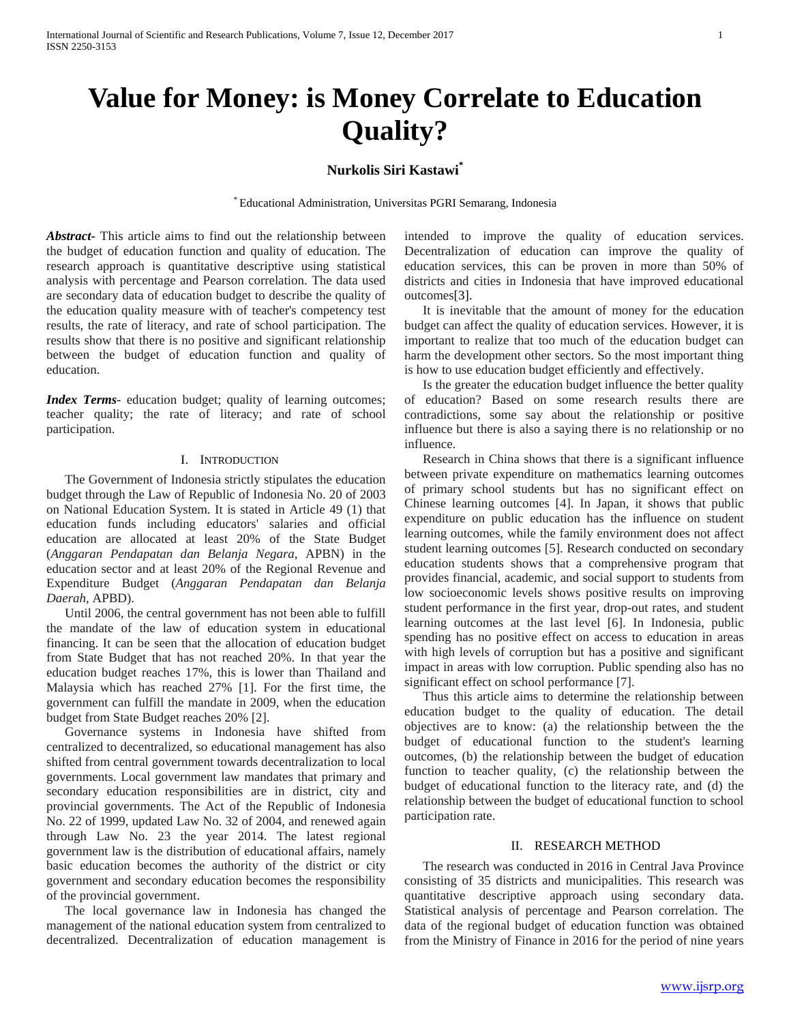# **Value for Money: is Money Correlate to Education Quality?**

## **Nurkolis Siri Kastawi\***

\* Educational Administration, Universitas PGRI Semarang, Indonesia

*Abstract***-** This article aims to find out the relationship between the budget of education function and quality of education. The research approach is quantitative descriptive using statistical analysis with percentage and Pearson correlation. The data used are secondary data of education budget to describe the quality of the education quality measure with of teacher's competency test results, the rate of literacy, and rate of school participation. The results show that there is no positive and significant relationship between the budget of education function and quality of education.

*Index Terms*- education budget; quality of learning outcomes; teacher quality; the rate of literacy; and rate of school participation.

## I. INTRODUCTION

The Government of Indonesia strictly stipulates the education budget through the Law of Republic of Indonesia No. 20 of 2003 on National Education System. It is stated in Article 49 (1) that education funds including educators' salaries and official education are allocated at least 20% of the State Budget (*Anggaran Pendapatan dan Belanja Negara*, APBN) in the education sector and at least 20% of the Regional Revenue and Expenditure Budget (*Anggaran Pendapatan dan Belanja Daerah*, APBD).

Until 2006, the central government has not been able to fulfill the mandate of the law of education system in educational financing. It can be seen that the allocation of education budget from State Budget that has not reached 20%. In that year the education budget reaches 17%, this is lower than Thailand and Malaysia which has reached 27% [1]. For the first time, the government can fulfill the mandate in 2009, when the education budget from State Budget reaches 20% [2].

Governance systems in Indonesia have shifted from centralized to decentralized, so educational management has also shifted from central government towards decentralization to local governments. Local government law mandates that primary and secondary education responsibilities are in district, city and provincial governments. The Act of the Republic of Indonesia No. 22 of 1999, updated Law No. 32 of 2004, and renewed again through Law No. 23 the year 2014. The latest regional government law is the distribution of educational affairs, namely basic education becomes the authority of the district or city government and secondary education becomes the responsibility of the provincial government.

The local governance law in Indonesia has changed the management of the national education system from centralized to decentralized. Decentralization of education management is intended to improve the quality of education services. Decentralization of education can improve the quality of education services, this can be proven in more than 50% of districts and cities in Indonesia that have improved educational outcomes[3].

It is inevitable that the amount of money for the education budget can affect the quality of education services. However, it is important to realize that too much of the education budget can harm the development other sectors. So the most important thing is how to use education budget efficiently and effectively.

Is the greater the education budget influence the better quality of education? Based on some research results there are contradictions, some say about the relationship or positive influence but there is also a saying there is no relationship or no influence.

Research in China shows that there is a significant influence between private expenditure on mathematics learning outcomes of primary school students but has no significant effect on Chinese learning outcomes [4]. In Japan, it shows that public expenditure on public education has the influence on student learning outcomes, while the family environment does not affect student learning outcomes [5]. Research conducted on secondary education students shows that a comprehensive program that provides financial, academic, and social support to students from low socioeconomic levels shows positive results on improving student performance in the first year, drop-out rates, and student learning outcomes at the last level [6]. In Indonesia, public spending has no positive effect on access to education in areas with high levels of corruption but has a positive and significant impact in areas with low corruption. Public spending also has no significant effect on school performance [7].

Thus this article aims to determine the relationship between education budget to the quality of education. The detail objectives are to know: (a) the relationship between the the budget of educational function to the student's learning outcomes, (b) the relationship between the budget of education function to teacher quality, (c) the relationship between the budget of educational function to the literacy rate, and (d) the relationship between the budget of educational function to school participation rate.

#### II. RESEARCH METHOD

The research was conducted in 2016 in Central Java Province consisting of 35 districts and municipalities. This research was quantitative descriptive approach using secondary data. Statistical analysis of percentage and Pearson correlation. The data of the regional budget of education function was obtained from the Ministry of Finance in 2016 for the period of nine years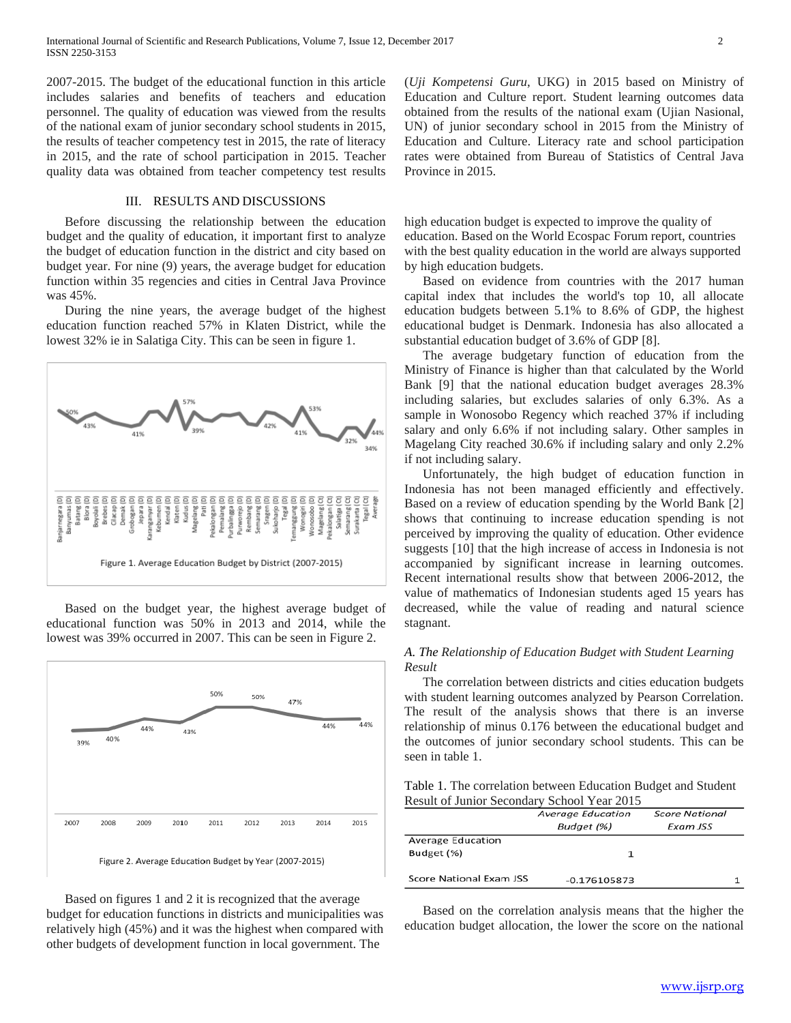2007-2015. The budget of the educational function in this article includes salaries and benefits of teachers and education personnel. The quality of education was viewed from the results of the national exam of junior secondary school students in 2015, the results of teacher competency test in 2015, the rate of literacy in 2015, and the rate of school participation in 2015. Teacher quality data was obtained from teacher competency test results

## III. RESULTS AND DISCUSSIONS

Before discussing the relationship between the education budget and the quality of education, it important first to analyze the budget of education function in the district and city based on budget year. For nine (9) years, the average budget for education function within 35 regencies and cities in Central Java Province was 45%.

During the nine years, the average budget of the highest education function reached 57% in Klaten District, while the lowest 32% ie in Salatiga City. This can be seen in figure 1.



Based on the budget year, the highest average budget of educational function was 50% in 2013 and 2014, while the lowest was 39% occurred in 2007. This can be seen in Figure 2.



Based on figures 1 and 2 it is recognized that the average budget for education functions in districts and municipalities was relatively high (45%) and it was the highest when compared with other budgets of development function in local government. The

(*Uji Kompetensi Guru*, UKG) in 2015 based on Ministry of Education and Culture report. Student learning outcomes data obtained from the results of the national exam (Ujian Nasional, UN) of junior secondary school in 2015 from the Ministry of Education and Culture. Literacy rate and school participation rates were obtained from Bureau of Statistics of Central Java Province in 2015.

high education budget is expected to improve the quality of education. Based on the World Ecospac Forum report, countries with the best quality education in the world are always supported by high education budgets.

Based on evidence from countries with the 2017 human capital index that includes the world's top 10, all allocate education budgets between 5.1% to 8.6% of GDP, the highest educational budget is Denmark. Indonesia has also allocated a substantial education budget of 3.6% of GDP [8].

The average budgetary function of education from the Ministry of Finance is higher than that calculated by the World Bank [9] that the national education budget averages 28.3% including salaries, but excludes salaries of only 6.3%. As a sample in Wonosobo Regency which reached 37% if including salary and only 6.6% if not including salary. Other samples in Magelang City reached 30.6% if including salary and only 2.2% if not including salary.

Unfortunately, the high budget of education function in Indonesia has not been managed efficiently and effectively. Based on a review of education spending by the World Bank [2] shows that continuing to increase education spending is not perceived by improving the quality of education. Other evidence suggests [10] that the high increase of access in Indonesia is not accompanied by significant increase in learning outcomes. Recent international results show that between 2006-2012, the value of mathematics of Indonesian students aged 15 years has decreased, while the value of reading and natural science stagnant.

## *A. The Relationship of Education Budget with Student Learning Result*

The correlation between districts and cities education budgets with student learning outcomes analyzed by Pearson Correlation. The result of the analysis shows that there is an inverse relationship of minus 0.176 between the educational budget and the outcomes of junior secondary school students. This can be seen in table 1.

Table 1. The correlation between Education Budget and Student Result of Junior Secondary School Year 2015

|                         | Average Education<br>Budget (%) | <b>Score National</b><br>Exam JSS |
|-------------------------|---------------------------------|-----------------------------------|
| Average Education       |                                 |                                   |
| Budget (%)              |                                 |                                   |
| Score National Exam JSS | -0.176105873                    |                                   |

Based on the correlation analysis means that the higher the education budget allocation, the lower the score on the national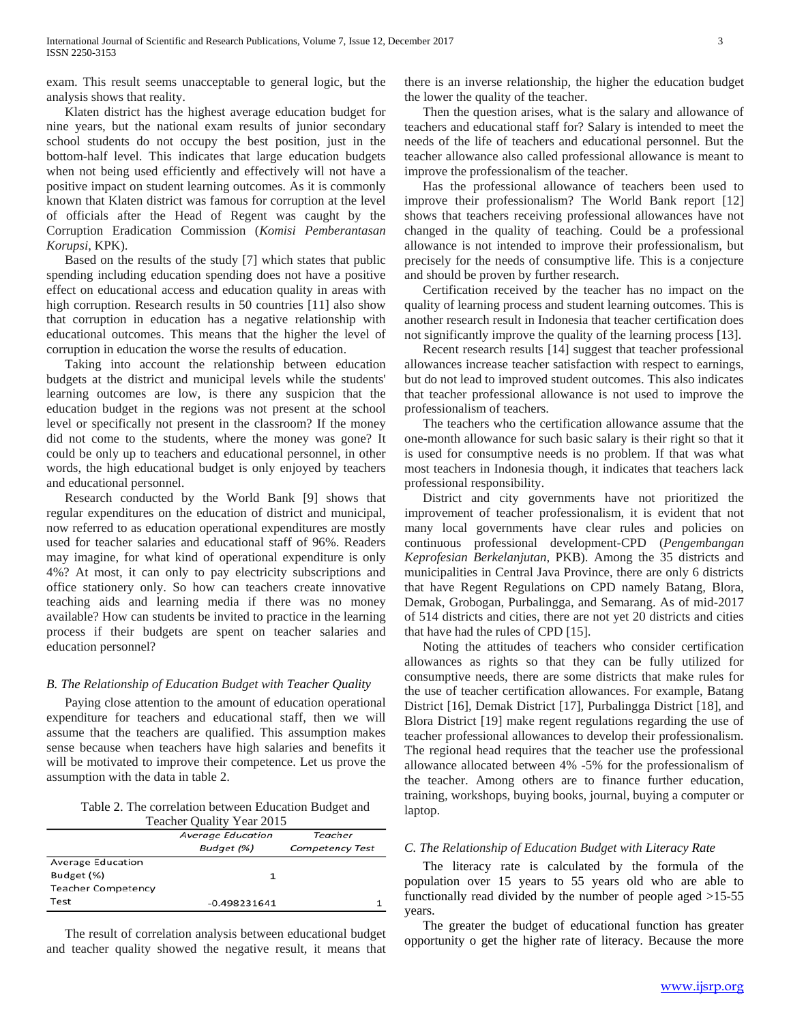exam. This result seems unacceptable to general logic, but the analysis shows that reality.

Klaten district has the highest average education budget for nine years, but the national exam results of junior secondary school students do not occupy the best position, just in the bottom-half level. This indicates that large education budgets when not being used efficiently and effectively will not have a positive impact on student learning outcomes. As it is commonly known that Klaten district was famous for corruption at the level of officials after the Head of Regent was caught by the Corruption Eradication Commission (*Komisi Pemberantasan Korupsi*, KPK).

Based on the results of the study [7] which states that public spending including education spending does not have a positive effect on educational access and education quality in areas with high corruption. Research results in 50 countries [11] also show that corruption in education has a negative relationship with educational outcomes. This means that the higher the level of corruption in education the worse the results of education.

Taking into account the relationship between education budgets at the district and municipal levels while the students' learning outcomes are low, is there any suspicion that the education budget in the regions was not present at the school level or specifically not present in the classroom? If the money did not come to the students, where the money was gone? It could be only up to teachers and educational personnel, in other words, the high educational budget is only enjoyed by teachers and educational personnel.

Research conducted by the World Bank [9] shows that regular expenditures on the education of district and municipal, now referred to as education operational expenditures are mostly used for teacher salaries and educational staff of 96%. Readers may imagine, for what kind of operational expenditure is only 4%? At most, it can only to pay electricity subscriptions and office stationery only. So how can teachers create innovative teaching aids and learning media if there was no money available? How can students be invited to practice in the learning process if their budgets are spent on teacher salaries and education personnel?

## *B. The Relationship of Education Budget with Teacher Quality*

Paying close attention to the amount of education operational expenditure for teachers and educational staff, then we will assume that the teachers are qualified. This assumption makes sense because when teachers have high salaries and benefits it will be motivated to improve their competence. Let us prove the assumption with the data in table 2.

Table 2. The correlation between Education Budget and Teacher Quality Year 2015

| Teacher Ouality Tear 2019 |                          |                        |
|---------------------------|--------------------------|------------------------|
|                           | <b>Average Education</b> | Teacher                |
|                           | Budget (%)               | <b>Competency Test</b> |
| Average Education         |                          |                        |
| Budget (%)                |                          |                        |
| <b>Teacher Competency</b> |                          |                        |
| Test                      | $-0.498231641$           |                        |

The result of correlation analysis between educational budget and teacher quality showed the negative result, it means that

there is an inverse relationship, the higher the education budget the lower the quality of the teacher.

Then the question arises, what is the salary and allowance of teachers and educational staff for? Salary is intended to meet the needs of the life of teachers and educational personnel. But the teacher allowance also called professional allowance is meant to improve the professionalism of the teacher.

Has the professional allowance of teachers been used to improve their professionalism? The World Bank report [12] shows that teachers receiving professional allowances have not changed in the quality of teaching. Could be a professional allowance is not intended to improve their professionalism, but precisely for the needs of consumptive life. This is a conjecture and should be proven by further research.

Certification received by the teacher has no impact on the quality of learning process and student learning outcomes. This is another research result in Indonesia that teacher certification does not significantly improve the quality of the learning process [13].

Recent research results [14] suggest that teacher professional allowances increase teacher satisfaction with respect to earnings, but do not lead to improved student outcomes. This also indicates that teacher professional allowance is not used to improve the professionalism of teachers.

The teachers who the certification allowance assume that the one-month allowance for such basic salary is their right so that it is used for consumptive needs is no problem. If that was what most teachers in Indonesia though, it indicates that teachers lack professional responsibility.

District and city governments have not prioritized the improvement of teacher professionalism, it is evident that not many local governments have clear rules and policies on continuous professional development-CPD (*Pengembangan Keprofesian Berkelanjutan*, PKB). Among the 35 districts and municipalities in Central Java Province, there are only 6 districts that have Regent Regulations on CPD namely Batang, Blora, Demak, Grobogan, Purbalingga, and Semarang. As of mid-2017 of 514 districts and cities, there are not yet 20 districts and cities that have had the rules of CPD [15].

Noting the attitudes of teachers who consider certification allowances as rights so that they can be fully utilized for consumptive needs, there are some districts that make rules for the use of teacher certification allowances. For example, Batang District [16], Demak District [17], Purbalingga District [18], and Blora District [19] make regent regulations regarding the use of teacher professional allowances to develop their professionalism. The regional head requires that the teacher use the professional allowance allocated between 4% -5% for the professionalism of the teacher. Among others are to finance further education, training, workshops, buying books, journal, buying a computer or laptop.

#### *C. The Relationship of Education Budget with Literacy Rate*

The literacy rate is calculated by the formula of the population over 15 years to 55 years old who are able to functionally read divided by the number of people aged >15-55 years.

The greater the budget of educational function has greater opportunity o get the higher rate of literacy. Because the more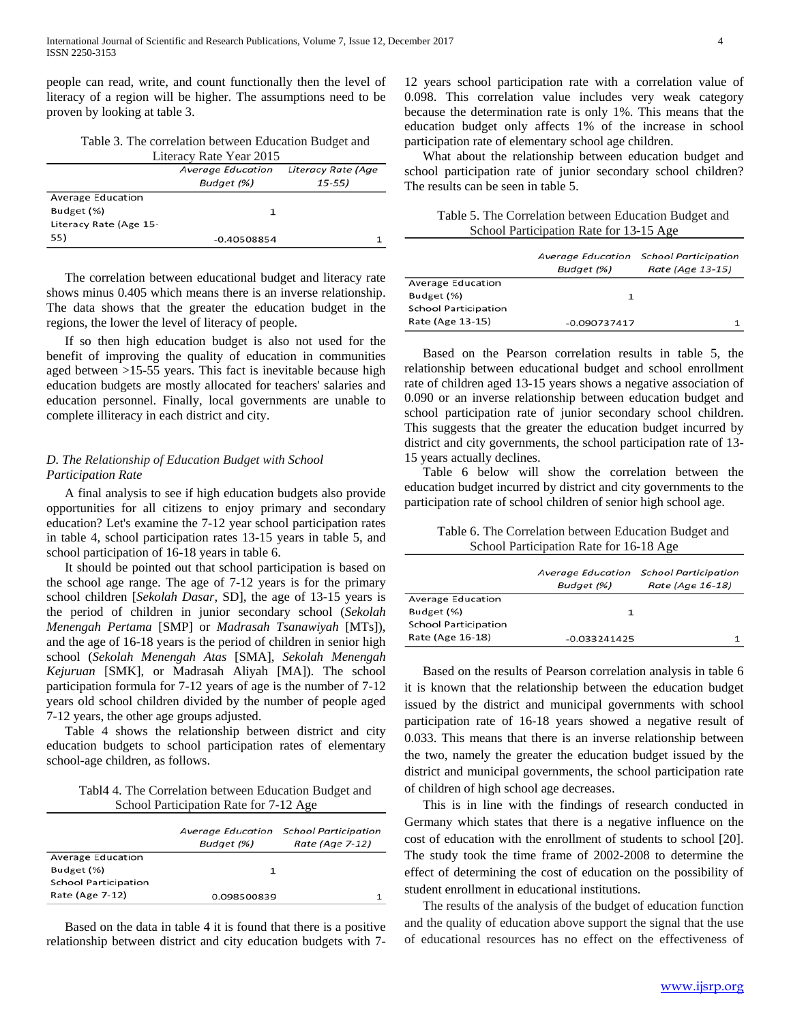people can read, write, and count functionally then the level of literacy of a region will be higher. The assumptions need to be proven by looking at table 3.

Table 3. The correlation between Education Budget and

| Literacy Rate Year 2015 |                          |                    |
|-------------------------|--------------------------|--------------------|
|                         | <b>Average Education</b> | Literacy Rate (Age |
|                         | Budget (%)               | $15 - 55$          |
| Average Education       |                          |                    |
| Budget (%)              |                          |                    |
| Literacy Rate (Age 15-  |                          |                    |
| 55)                     | $-0.40508854$            |                    |

The correlation between educational budget and literacy rate shows minus 0.405 which means there is an inverse relationship. The data shows that the greater the education budget in the regions, the lower the level of literacy of people.

If so then high education budget is also not used for the benefit of improving the quality of education in communities aged between >15-55 years. This fact is inevitable because high education budgets are mostly allocated for teachers' salaries and education personnel. Finally, local governments are unable to complete illiteracy in each district and city.

## *D. The Relationship of Education Budget with School Participation Rate*

A final analysis to see if high education budgets also provide opportunities for all citizens to enjoy primary and secondary education? Let's examine the 7-12 year school participation rates in table 4, school participation rates 13-15 years in table 5, and school participation of 16-18 years in table 6.

It should be pointed out that school participation is based on the school age range. The age of 7-12 years is for the primary school children [*Sekolah Dasar*, SD], the age of 13-15 years is the period of children in junior secondary school (*Sekolah Menengah Pertama* [SMP] or *Madrasah Tsanawiyah* [MTs]), and the age of 16-18 years is the period of children in senior high school (*Sekolah Menengah Atas* [SMA], *Sekolah Menengah Kejuruan* [SMK], or Madrasah Aliyah [MA]). The school participation formula for 7-12 years of age is the number of 7-12 years old school children divided by the number of people aged 7-12 years, the other age groups adjusted.

Table 4 shows the relationship between district and city education budgets to school participation rates of elementary school-age children, as follows.

Tabl4 4. The Correlation between Education Budget and School Participation Rate for 7-12 Age

|                             | Budget (%)  | Average Education School Participation<br>Rate (Age 7-12) |
|-----------------------------|-------------|-----------------------------------------------------------|
| Average Education           |             |                                                           |
| Budget (%)                  |             |                                                           |
| <b>School Participation</b> |             |                                                           |
| Rate (Age 7-12)             | 0.098500839 |                                                           |

Based on the data in table 4 it is found that there is a positive relationship between district and city education budgets with 7-

12 years school participation rate with a correlation value of 0.098. This correlation value includes very weak category because the determination rate is only 1%. This means that the education budget only affects 1% of the increase in school participation rate of elementary school age children.

What about the relationship between education budget and school participation rate of junior secondary school children? The results can be seen in table 5.

Table 5. The Correlation between Education Budget and School Participation Rate for 13-15 Age

|                             | Budget (%)     | Average Education School Participation<br>Rate (Age 13-15) |
|-----------------------------|----------------|------------------------------------------------------------|
| Average Education           |                |                                                            |
| Budget (%)                  |                |                                                            |
| <b>School Participation</b> |                |                                                            |
| Rate (Age 13-15)            | $-0.090737417$ |                                                            |

Based on the Pearson correlation results in table 5, the relationship between educational budget and school enrollment rate of children aged 13-15 years shows a negative association of 0.090 or an inverse relationship between education budget and school participation rate of junior secondary school children. This suggests that the greater the education budget incurred by district and city governments, the school participation rate of 13- 15 years actually declines.

Table 6 below will show the correlation between the education budget incurred by district and city governments to the participation rate of school children of senior high school age.

Table 6. The Correlation between Education Budget and School Participation Rate for 16-18 Age

|                             | Budget (%)     | Average Education School Participation<br>Rate (Age 16-18) |
|-----------------------------|----------------|------------------------------------------------------------|
| Average Education           |                |                                                            |
| Budget (%)                  |                |                                                            |
| <b>School Participation</b> |                |                                                            |
| Rate (Age 16-18)            | $-0.033241425$ |                                                            |

Based on the results of Pearson correlation analysis in table 6 it is known that the relationship between the education budget issued by the district and municipal governments with school participation rate of 16-18 years showed a negative result of 0.033. This means that there is an inverse relationship between the two, namely the greater the education budget issued by the district and municipal governments, the school participation rate of children of high school age decreases.

This is in line with the findings of research conducted in Germany which states that there is a negative influence on the cost of education with the enrollment of students to school [20]. The study took the time frame of 2002-2008 to determine the effect of determining the cost of education on the possibility of student enrollment in educational institutions.

The results of the analysis of the budget of education function and the quality of education above support the signal that the use of educational resources has no effect on the effectiveness of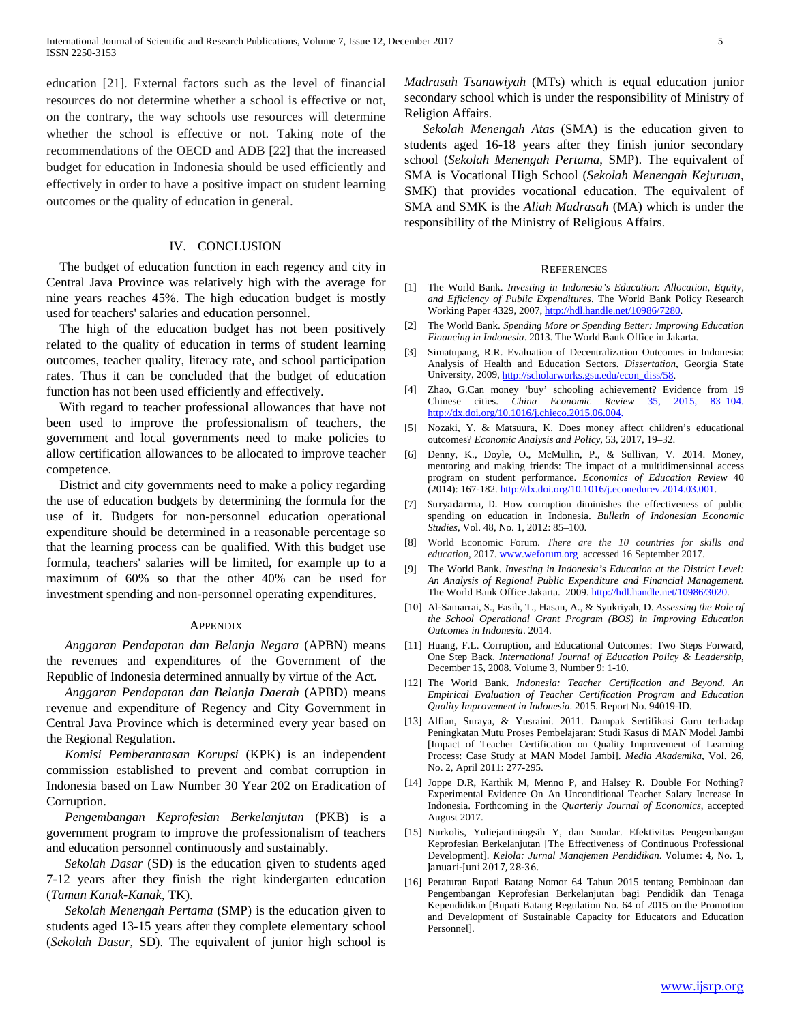education [21]. External factors such as the level of financial resources do not determine whether a school is effective or not, on the contrary, the way schools use resources will determine whether the school is effective or not. Taking note of the recommendations of the OECD and ADB [22] that the increased budget for education in Indonesia should be used efficiently and effectively in order to have a positive impact on student learning outcomes or the quality of education in general.

## IV. CONCLUSION

The budget of education function in each regency and city in Central Java Province was relatively high with the average for nine years reaches 45%. The high education budget is mostly used for teachers' salaries and education personnel.

The high of the education budget has not been positively related to the quality of education in terms of student learning outcomes, teacher quality, literacy rate, and school participation rates. Thus it can be concluded that the budget of education function has not been used efficiently and effectively.

With regard to teacher professional allowances that have not been used to improve the professionalism of teachers, the government and local governments need to make policies to allow certification allowances to be allocated to improve teacher competence.

District and city governments need to make a policy regarding the use of education budgets by determining the formula for the use of it. Budgets for non-personnel education operational expenditure should be determined in a reasonable percentage so that the learning process can be qualified. With this budget use formula, teachers' salaries will be limited, for example up to a maximum of 60% so that the other 40% can be used for investment spending and non-personnel operating expenditures.

#### **APPENDIX**

*Anggaran Pendapatan dan Belanja Negara* (APBN) means the revenues and expenditures of the Government of the Republic of Indonesia determined annually by virtue of the Act.

*Anggaran Pendapatan dan Belanja Daerah* (APBD) means revenue and expenditure of Regency and City Government in Central Java Province which is determined every year based on the Regional Regulation.

*Komisi Pemberantasan Korupsi* (KPK) is an independent commission established to prevent and combat corruption in Indonesia based on Law Number 30 Year 202 on Eradication of Corruption.

*Pengembangan Keprofesian Berkelanjutan* (PKB) is a government program to improve the professionalism of teachers and education personnel continuously and sustainably.

*Sekolah Dasar* (SD) is the education given to students aged 7-12 years after they finish the right kindergarten education (*Taman Kanak-Kanak*, TK).

*Sekolah Menengah Pertama* (SMP) is the education given to students aged 13-15 years after they complete elementary school (*Sekolah Dasar*, SD). The equivalent of junior high school is *Madrasah Tsanawiyah* (MTs) which is equal education junior secondary school which is under the responsibility of Ministry of Religion Affairs.

*Sekolah Menengah Atas* (SMA) is the education given to students aged 16-18 years after they finish junior secondary school (*Sekolah Menengah Pertama*, SMP). The equivalent of SMA is Vocational High School (*Sekolah Menengah Kejuruan*, SMK) that provides vocational education. The equivalent of SMA and SMK is the *Aliah Madrasah* (MA) which is under the responsibility of the Ministry of Religious Affairs.

#### **REFERENCES**

- [1] The World Bank. *Investing in Indonesia's Education: Allocation, Equity, and Efficiency of Public Expenditures*. The World Bank Policy Research Working Paper 4329, 2007, [http://hdl.handle.net/10986/7280.](http://hdl.handle.net/10986/7280)
- [2] The World Bank. *Spending More or Spending Better: Improving Education Financing in Indonesia*. 2013. The World Bank Office in Jakarta.
- [3] Simatupang, R.R. Evaluation of Decentralization Outcomes in Indonesia: Analysis of Health and Education Sectors. *Dissertation*, Georgia State University, 2009[, http://scholarworks.gsu.edu/econ\\_diss/58.](http://scholarworks.gsu.edu/econ_diss/58)
- [4] Zhao, G.Can money 'buy' schooling achievement? Evidence from 19 Chinese cities. *China Economic Review* 35, 2015, 83–104. [http://dx.doi.org/10.1016/j.chieco.2015.06.004.](http://dx.doi.org/10.1016/j.chieco.2015.06.004)
- [5] Nozaki, Y. & Matsuura, K. Does money affect children's educational outcomes? *Economic Analysis and Policy*, 53, 2017, 19–32.
- [6] Denny, K., Doyle, O., McMullin, P., & Sullivan, V. 2014. Money, mentoring and making friends: The impact of a multidimensional access program on student performance. *Economics of Education Review* 40 (2014): 167-182[. http://dx.doi.org/10.1016/j.econedurev.2014.03.001.](http://dx.doi.org/10.1016/j.econedurev.2014.03.001)
- [7] Suryadarma, D. How corruption diminishes the effectiveness of public spending on education in Indonesia. *Bulletin of Indonesian Economic Studies*, Vol. 48, No. 1, 2012: 85–100.
- [8] World Economic Forum. *There are the 10 countries for skills and education*, 2017[. www.weforum.org](http://www.weforum.org/) accessed 16 September 2017.
- [9] The World Bank. *Investing in Indonesia's Education at the District Level: An Analysis of Regional Public Expenditure and Financial Management.* The World Bank Office Jakarta. 2009[. http://hdl.handle.net/10986/3020.](http://hdl.handle.net/10986/3020)
- [10] Al-Samarrai, S., Fasih, T., Hasan, A., & Syukriyah, D. *Assessing the Role of the School Operational Grant Program (BOS) in Improving Education Outcomes in Indonesia*. 2014.
- [11] Huang, F.L. Corruption, and Educational Outcomes: Two Steps Forward, One Step Back. *International Journal of Education Policy & Leadership*, December 15, 2008. Volume 3, Number 9: 1-10.
- [12] The World Bank. *Indonesia: Teacher Certification and Beyond. An Empirical Evaluation of Teacher Certification Program and Education Quality Improvement in Indonesia*. 2015. Report No. 94019-ID.
- [13] Alfian, Suraya, & Yusraini. 2011. Dampak Sertifikasi Guru terhadap Peningkatan Mutu Proses Pembelajaran: Studi Kasus di MAN Model Jambi [Impact of Teacher Certification on Quality Improvement of Learning Process: Case Study at MAN Model Jambi]. *Media Akademika*, Vol. 26, No. 2, April 2011: 277-295.
- [14] Joppe D.R, Karthik M, Menno P, and Halsey R. Double For Nothing? Experimental Evidence On An Unconditional Teacher Salary Increase In Indonesia. Forthcoming in the *Quarterly Journal of Economics*, accepted August 2017.
- [15] Nurkolis, Yuliejantiningsih Y, dan Sundar. Efektivitas Pengembangan Keprofesian Berkelanjutan [The Effectiveness of Continuous Professional Development]. *Kelola: Jurnal Manajemen Pendidikan*. Volume: 4, No. 1, Januari-Juni 2017, 28-36.
- [16] Peraturan Bupati Batang Nomor 64 Tahun 2015 tentang Pembinaan dan Pengembangan Keprofesian Berkelanjutan bagi Pendidik dan Tenaga Kependidikan [Bupati Batang Regulation No. 64 of 2015 on the Promotion and Development of Sustainable Capacity for Educators and Education Personnel].